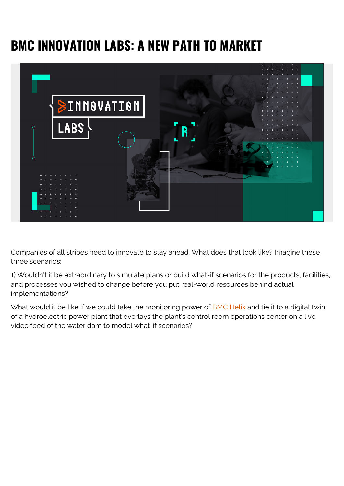## **BMC INNOVATION LABS: A NEW PATH TO MARKET**



Companies of all stripes need to innovate to stay ahead. What does that look like? Imagine these three scenarios:

1) Wouldn't it be extraordinary to simulate plans or build what-if scenarios for the products, facilities, and processes you wished to change before you put real-world resources behind actual implementations?

What would it be like if we could take the monitoring power of **[BMC Helix](https://blogs.bmc.com/it-solutions/bmc-helix.html)** and tie it to a digital twin of a hydroelectric power plant that overlays the plant's control room operations center on a live video feed of the water dam to model what-if scenarios?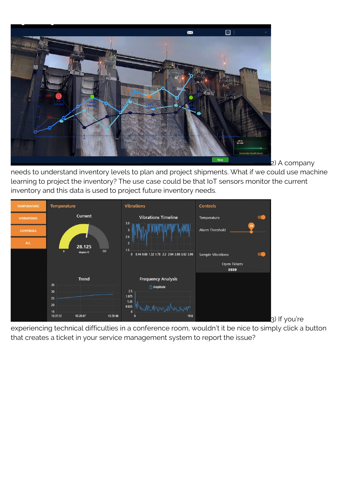

2) A company

needs to understand inventory levels to plan and project shipments. What if we could use machine learning to project the inventory? The use case could be that IoT sensors monitor the current inventory and this data is used to project future inventory needs.



experiencing technical difficulties in a conference room, wouldn't it be nice to simply click a button that creates a ticket in your service management system to report the issue?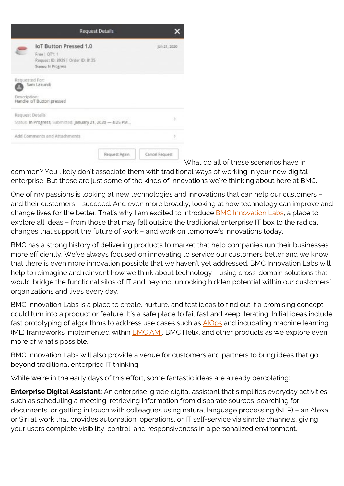|                                | <b>IoT Button Pressed 1.0</b><br>Free   QTY: 1<br>Request ID: 8939   Order ID: 8135<br>Status: In Progress |                | Jan 21, 2020    |
|--------------------------------|------------------------------------------------------------------------------------------------------------|----------------|-----------------|
| Requested For:<br>Description: | Sam Lakundi<br>Handle IoT Button pressed                                                                   |                |                 |
| Request Details                |                                                                                                            |                | y               |
|                                | Status: In Progress, Submitted: January 21, 2020 - 4:25 PM                                                 |                |                 |
| Add Comments and Attachments   |                                                                                                            |                | y               |
|                                |                                                                                                            | Request Again. | Carloel Request |

What do all of these scenarios have in

common? You likely don't associate them with traditional ways of working in your new digital enterprise. But these are just some of the kinds of innovations we're thinking about here at BMC.

One of my passions is looking at new technologies and innovations that can help our customers – and their customers – succeed. And even more broadly, looking at how technology can improve and change lives for the better. That's why I am excited to introduce [BMC Innovation Labs](https://blogs.bmc.com/corporate/bmc-innovation-labs.html), a place to explore all ideas – from those that may fall outside the traditional enterprise IT box to the radical changes that support the future of work – and work on tomorrow's innovations today.

BMC has a strong history of delivering products to market that help companies run their businesses more efficiently. We've always focused on innovating to service our customers better and we know that there is even more innovation possible that we haven't yet addressed. BMC Innovation Labs will help to reimagine and reinvent how we think about technology – using cross-domain solutions that would bridge the functional silos of IT and beyond, unlocking hidden potential within our customers' organizations and lives every day.

BMC Innovation Labs is a place to create, nurture, and test ideas to find out if a promising concept could turn into a product or feature. It's a safe place to fail fast and keep iterating. Initial ideas include fast prototyping of algorithms to address use cases such as **AlOps** and incubating machine learning (ML) frameworks implemented within **BMC AMI**, BMC Helix, and other products as we explore even more of what's possible.

BMC Innovation Labs will also provide a venue for customers and partners to bring ideas that go beyond traditional enterprise IT thinking.

While we're in the early days of this effort, some fantastic ideas are already percolating:

**Enterprise Digital Assistant:** An enterprise-grade digital assistant that simplifies everyday activities such as scheduling a meeting, retrieving information from disparate sources, searching for documents, or getting in touch with colleagues using natural language processing (NLP) – an Alexa or Siri at work that provides automation, operations, or IT self-service via simple channels, giving your users complete visibility, control, and responsiveness in a personalized environment.